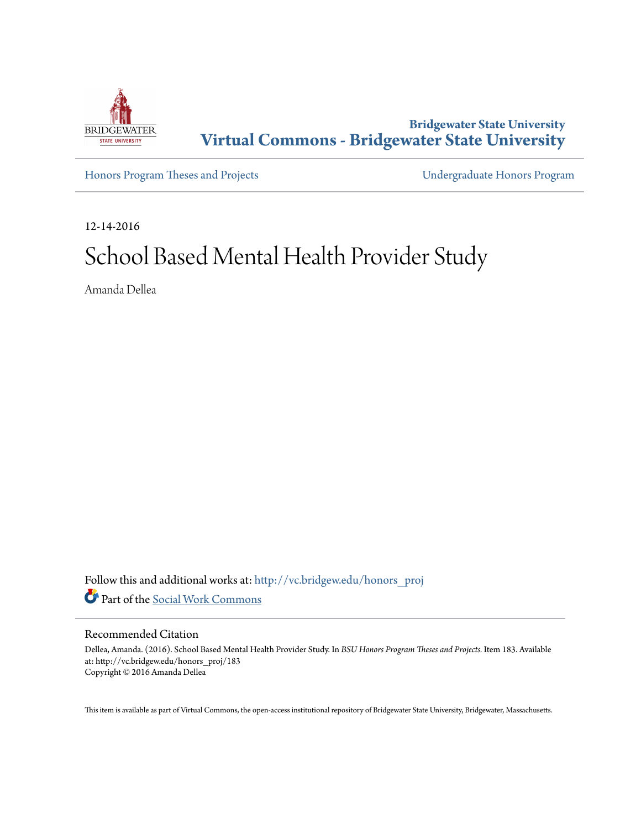

**Bridgewater State University [Virtual Commons - Bridgewater State University](http://vc.bridgew.edu?utm_source=vc.bridgew.edu%2Fhonors_proj%2F183&utm_medium=PDF&utm_campaign=PDFCoverPages)**

[Honors Program Theses and Projects](http://vc.bridgew.edu/honors_proj?utm_source=vc.bridgew.edu%2Fhonors_proj%2F183&utm_medium=PDF&utm_campaign=PDFCoverPages) [Undergraduate Honors Program](http://vc.bridgew.edu/honors?utm_source=vc.bridgew.edu%2Fhonors_proj%2F183&utm_medium=PDF&utm_campaign=PDFCoverPages)

12-14-2016

# School Based Mental Health Provider Study

Amanda Dellea

Follow this and additional works at: [http://vc.bridgew.edu/honors\\_proj](http://vc.bridgew.edu/honors_proj?utm_source=vc.bridgew.edu%2Fhonors_proj%2F183&utm_medium=PDF&utm_campaign=PDFCoverPages) Part of the [Social Work Commons](http://network.bepress.com/hgg/discipline/713?utm_source=vc.bridgew.edu%2Fhonors_proj%2F183&utm_medium=PDF&utm_campaign=PDFCoverPages)

#### Recommended Citation

Dellea, Amanda. (2016). School Based Mental Health Provider Study. In *BSU Honors Program Theses and Projects.* Item 183. Available at: http://vc.bridgew.edu/honors\_proj/183 Copyright © 2016 Amanda Dellea

This item is available as part of Virtual Commons, the open-access institutional repository of Bridgewater State University, Bridgewater, Massachusetts.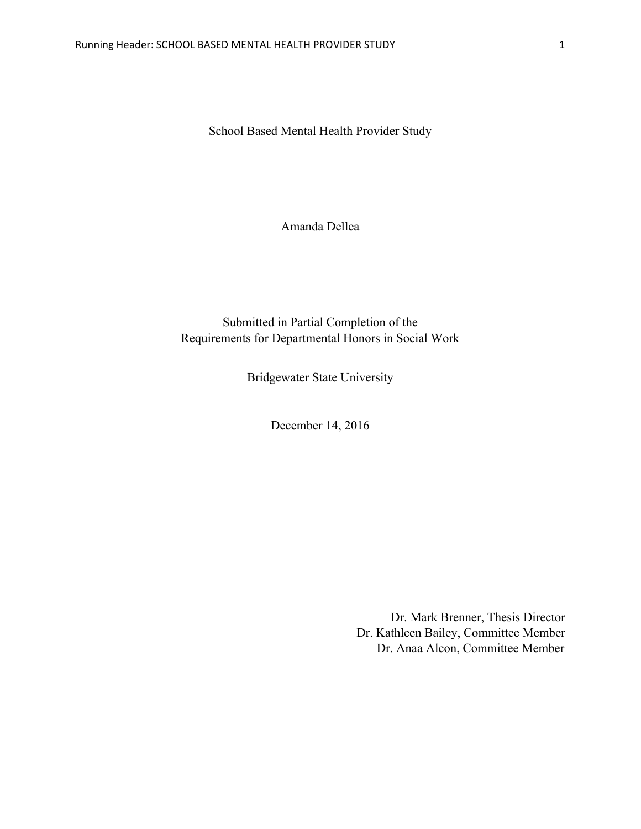School Based Mental Health Provider Study

Amanda Dellea

# Submitted in Partial Completion of the Requirements for Departmental Honors in Social Work

Bridgewater State University

December 14, 2016

Dr. Mark Brenner, Thesis Director Dr. Kathleen Bailey, Committee Member Dr. Anaa Alcon, Committee Member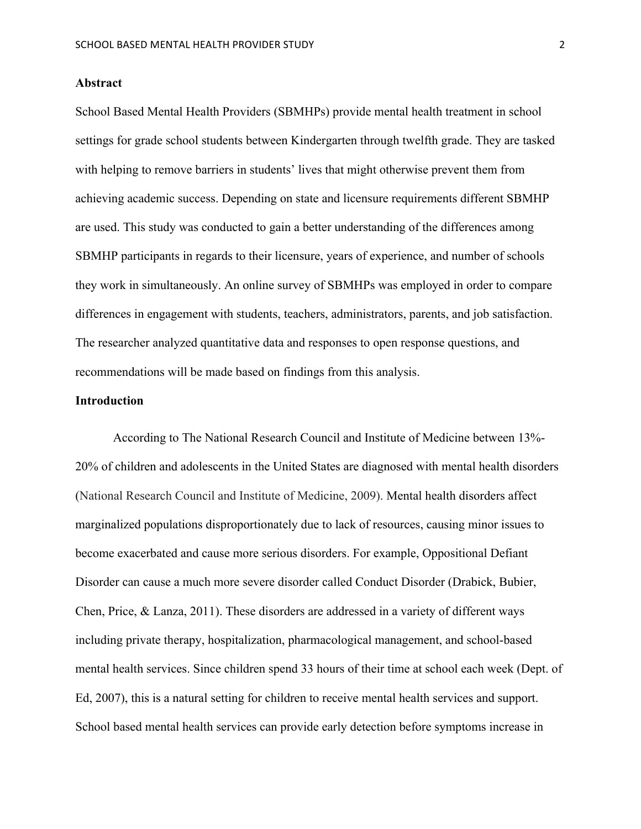#### **Abstract**

School Based Mental Health Providers (SBMHPs) provide mental health treatment in school settings for grade school students between Kindergarten through twelfth grade. They are tasked with helping to remove barriers in students' lives that might otherwise prevent them from achieving academic success. Depending on state and licensure requirements different SBMHP are used. This study was conducted to gain a better understanding of the differences among SBMHP participants in regards to their licensure, years of experience, and number of schools they work in simultaneously. An online survey of SBMHPs was employed in order to compare differences in engagement with students, teachers, administrators, parents, and job satisfaction. The researcher analyzed quantitative data and responses to open response questions, and recommendations will be made based on findings from this analysis.

#### **Introduction**

According to The National Research Council and Institute of Medicine between 13%- 20% of children and adolescents in the United States are diagnosed with mental health disorders (National Research Council and Institute of Medicine, 2009). Mental health disorders affect marginalized populations disproportionately due to lack of resources, causing minor issues to become exacerbated and cause more serious disorders. For example, Oppositional Defiant Disorder can cause a much more severe disorder called Conduct Disorder (Drabick, Bubier, Chen, Price, & Lanza, 2011). These disorders are addressed in a variety of different ways including private therapy, hospitalization, pharmacological management, and school-based mental health services. Since children spend 33 hours of their time at school each week (Dept. of Ed, 2007), this is a natural setting for children to receive mental health services and support. School based mental health services can provide early detection before symptoms increase in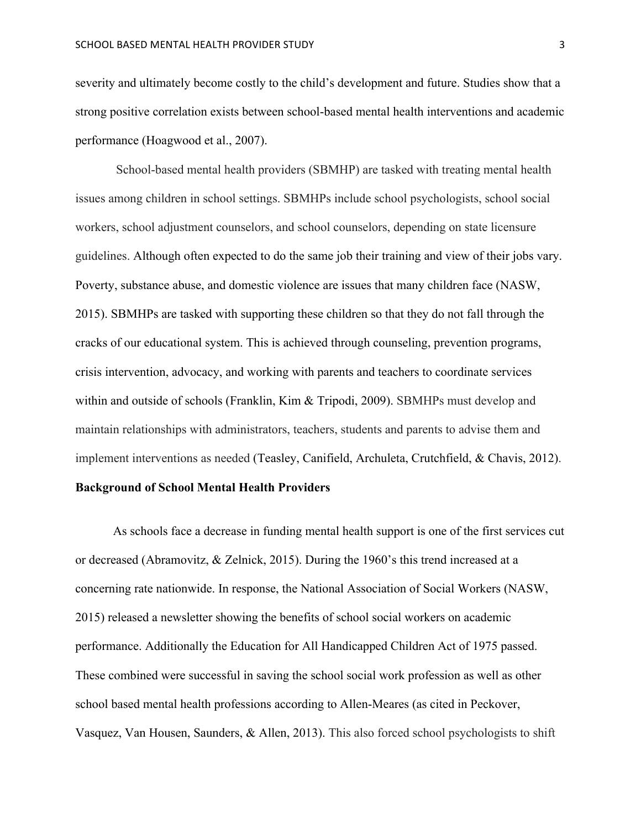severity and ultimately become costly to the child's development and future. Studies show that a strong positive correlation exists between school-based mental health interventions and academic performance (Hoagwood et al., 2007).

School-based mental health providers (SBMHP) are tasked with treating mental health issues among children in school settings. SBMHPs include school psychologists, school social workers, school adjustment counselors, and school counselors, depending on state licensure guidelines. Although often expected to do the same job their training and view of their jobs vary. Poverty, substance abuse, and domestic violence are issues that many children face (NASW, 2015). SBMHPs are tasked with supporting these children so that they do not fall through the cracks of our educational system. This is achieved through counseling, prevention programs, crisis intervention, advocacy, and working with parents and teachers to coordinate services within and outside of schools (Franklin, Kim & Tripodi, 2009). SBMHPs must develop and maintain relationships with administrators, teachers, students and parents to advise them and implement interventions as needed (Teasley, Canifield, Archuleta, Crutchfield, & Chavis, 2012).

# **Background of School Mental Health Providers**

As schools face a decrease in funding mental health support is one of the first services cut or decreased (Abramovitz, & Zelnick, 2015). During the 1960's this trend increased at a concerning rate nationwide. In response, the National Association of Social Workers (NASW, 2015) released a newsletter showing the benefits of school social workers on academic performance. Additionally the Education for All Handicapped Children Act of 1975 passed. These combined were successful in saving the school social work profession as well as other school based mental health professions according to Allen-Meares (as cited in Peckover, Vasquez, Van Housen, Saunders, & Allen, 2013). This also forced school psychologists to shift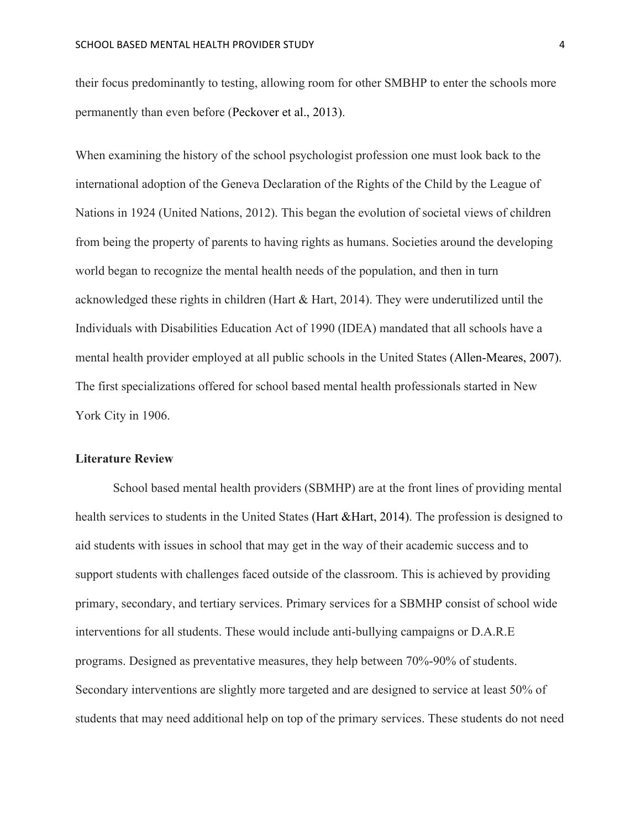their focus predominantly to testing, allowing room for other SMBHP to enter the schools more permanently than even before (Peckover et al., 2013).

When examining the history of the school psychologist profession one must look back to the international adoption of the Geneva Declaration of the Rights of the Child by the League of Nations in 1924 (United Nations, 2012). This began the evolution of societal views of children from being the property of parents to having rights as humans. Societies around the developing world began to recognize the mental health needs of the population, and then in turn acknowledged these rights in children (Hart & Hart, 2014). They were underutilized until the Individuals with Disabilities Education Act of 1990 (IDEA) mandated that all schools have a mental health provider employed at all public schools in the United States (Allen-Meares, 2007). The first specializations offered for school based mental health professionals started in New York City in 1906.

#### **Literature Review**

School based mental health providers (SBMHP) are at the front lines of providing mental health services to students in the United States (Hart &Hart, 2014). The profession is designed to aid students with issues in school that may get in the way of their academic success and to support students with challenges faced outside of the classroom. This is achieved by providing primary, secondary, and tertiary services. Primary services for a SBMHP consist of school wide interventions for all students. These would include anti-bullying campaigns or D.A.R.E programs. Designed as preventative measures, they help between 70%-90% of students. Secondary interventions are slightly more targeted and are designed to service at least 50% of students that may need additional help on top of the primary services. These students do not need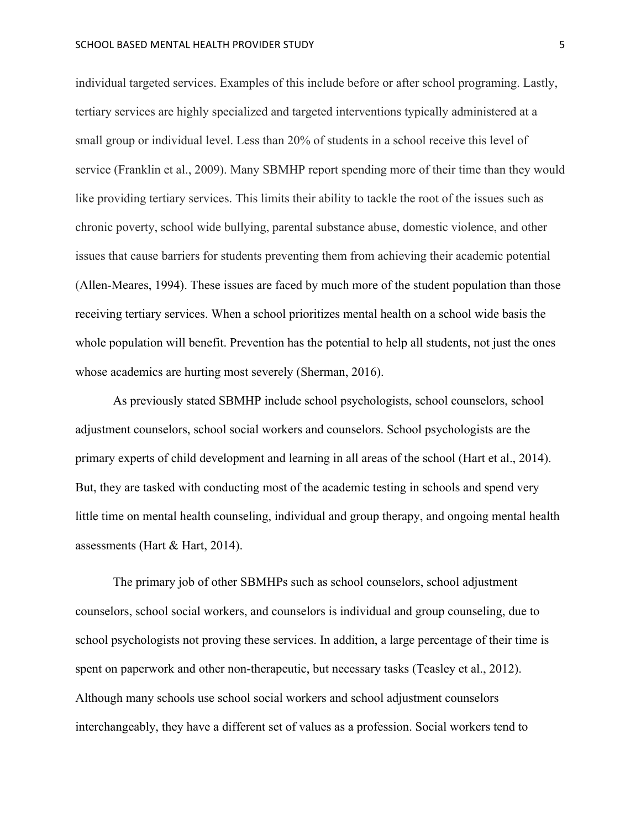individual targeted services. Examples of this include before or after school programing. Lastly, tertiary services are highly specialized and targeted interventions typically administered at a small group or individual level. Less than 20% of students in a school receive this level of service (Franklin et al., 2009). Many SBMHP report spending more of their time than they would like providing tertiary services. This limits their ability to tackle the root of the issues such as chronic poverty, school wide bullying, parental substance abuse, domestic violence, and other issues that cause barriers for students preventing them from achieving their academic potential (Allen-Meares, 1994). These issues are faced by much more of the student population than those receiving tertiary services. When a school prioritizes mental health on a school wide basis the whole population will benefit. Prevention has the potential to help all students, not just the ones whose academics are hurting most severely (Sherman, 2016).

As previously stated SBMHP include school psychologists, school counselors, school adjustment counselors, school social workers and counselors. School psychologists are the primary experts of child development and learning in all areas of the school (Hart et al., 2014). But, they are tasked with conducting most of the academic testing in schools and spend very little time on mental health counseling, individual and group therapy, and ongoing mental health assessments (Hart & Hart, 2014).

The primary job of other SBMHPs such as school counselors, school adjustment counselors, school social workers, and counselors is individual and group counseling, due to school psychologists not proving these services. In addition, a large percentage of their time is spent on paperwork and other non-therapeutic, but necessary tasks (Teasley et al., 2012). Although many schools use school social workers and school adjustment counselors interchangeably, they have a different set of values as a profession. Social workers tend to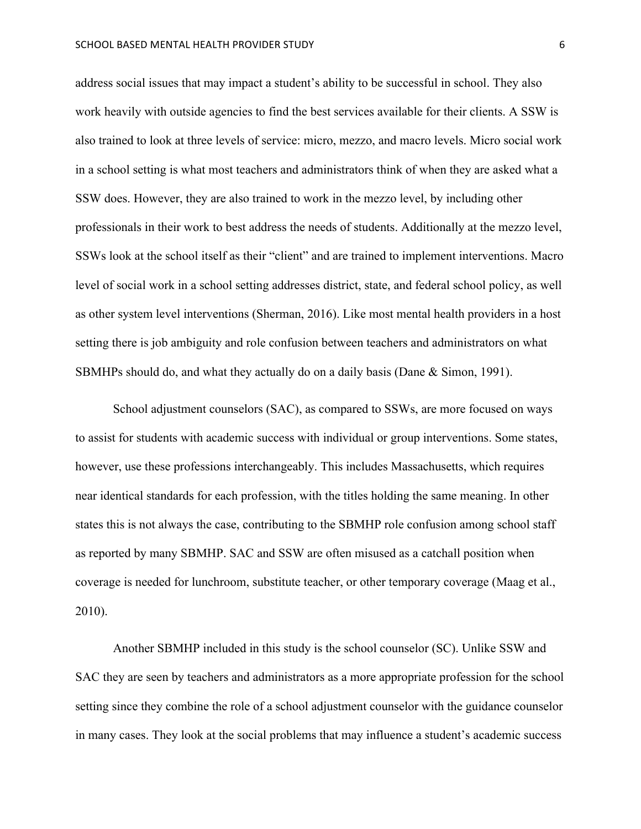address social issues that may impact a student's ability to be successful in school. They also work heavily with outside agencies to find the best services available for their clients. A SSW is also trained to look at three levels of service: micro, mezzo, and macro levels. Micro social work in a school setting is what most teachers and administrators think of when they are asked what a SSW does. However, they are also trained to work in the mezzo level, by including other professionals in their work to best address the needs of students. Additionally at the mezzo level, SSWs look at the school itself as their "client" and are trained to implement interventions. Macro level of social work in a school setting addresses district, state, and federal school policy, as well as other system level interventions (Sherman, 2016). Like most mental health providers in a host setting there is job ambiguity and role confusion between teachers and administrators on what SBMHPs should do, and what they actually do on a daily basis (Dane & Simon, 1991).

School adjustment counselors (SAC), as compared to SSWs, are more focused on ways to assist for students with academic success with individual or group interventions. Some states, however, use these professions interchangeably. This includes Massachusetts, which requires near identical standards for each profession, with the titles holding the same meaning. In other states this is not always the case, contributing to the SBMHP role confusion among school staff as reported by many SBMHP. SAC and SSW are often misused as a catchall position when coverage is needed for lunchroom, substitute teacher, or other temporary coverage (Maag et al., 2010).

Another SBMHP included in this study is the school counselor (SC). Unlike SSW and SAC they are seen by teachers and administrators as a more appropriate profession for the school setting since they combine the role of a school adjustment counselor with the guidance counselor in many cases. They look at the social problems that may influence a student's academic success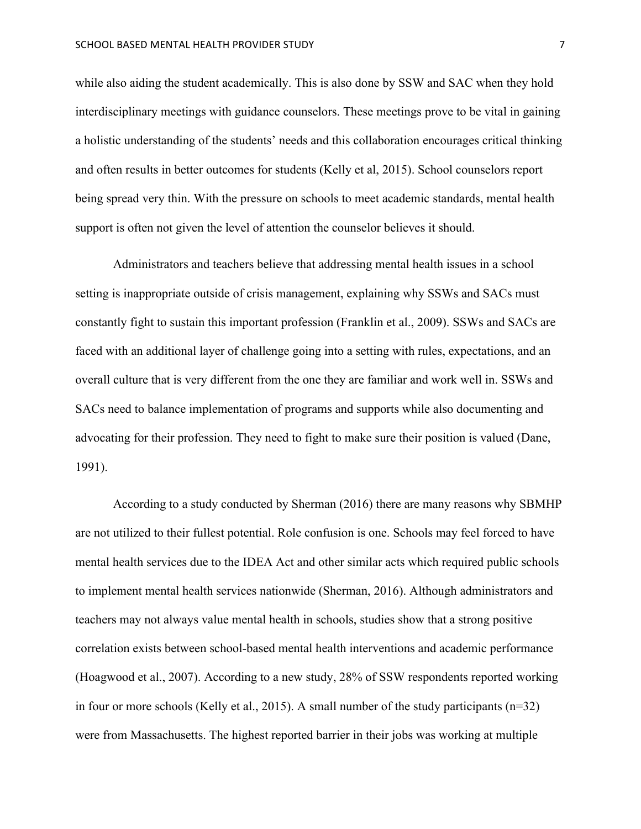while also aiding the student academically. This is also done by SSW and SAC when they hold interdisciplinary meetings with guidance counselors. These meetings prove to be vital in gaining a holistic understanding of the students' needs and this collaboration encourages critical thinking and often results in better outcomes for students (Kelly et al, 2015). School counselors report being spread very thin. With the pressure on schools to meet academic standards, mental health support is often not given the level of attention the counselor believes it should.

Administrators and teachers believe that addressing mental health issues in a school setting is inappropriate outside of crisis management, explaining why SSWs and SACs must constantly fight to sustain this important profession (Franklin et al., 2009). SSWs and SACs are faced with an additional layer of challenge going into a setting with rules, expectations, and an overall culture that is very different from the one they are familiar and work well in. SSWs and SACs need to balance implementation of programs and supports while also documenting and advocating for their profession. They need to fight to make sure their position is valued (Dane, 1991).

According to a study conducted by Sherman (2016) there are many reasons why SBMHP are not utilized to their fullest potential. Role confusion is one. Schools may feel forced to have mental health services due to the IDEA Act and other similar acts which required public schools to implement mental health services nationwide (Sherman, 2016). Although administrators and teachers may not always value mental health in schools, studies show that a strong positive correlation exists between school-based mental health interventions and academic performance (Hoagwood et al., 2007). According to a new study, 28% of SSW respondents reported working in four or more schools (Kelly et al., 2015). A small number of the study participants (n=32) were from Massachusetts. The highest reported barrier in their jobs was working at multiple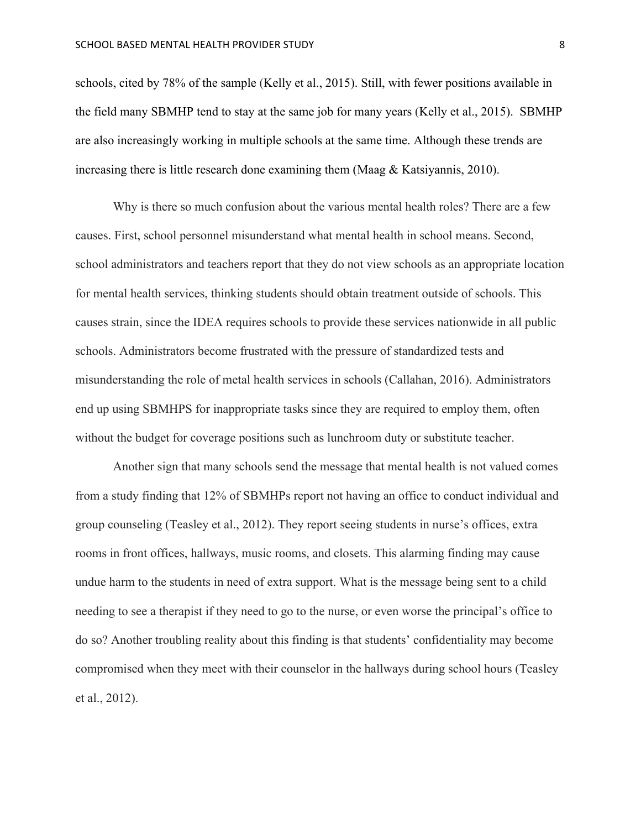schools, cited by 78% of the sample (Kelly et al., 2015). Still, with fewer positions available in the field many SBMHP tend to stay at the same job for many years (Kelly et al., 2015). SBMHP are also increasingly working in multiple schools at the same time. Although these trends are increasing there is little research done examining them (Maag & Katsiyannis, 2010).

Why is there so much confusion about the various mental health roles? There are a few causes. First, school personnel misunderstand what mental health in school means. Second, school administrators and teachers report that they do not view schools as an appropriate location for mental health services, thinking students should obtain treatment outside of schools. This causes strain, since the IDEA requires schools to provide these services nationwide in all public schools. Administrators become frustrated with the pressure of standardized tests and misunderstanding the role of metal health services in schools (Callahan, 2016). Administrators end up using SBMHPS for inappropriate tasks since they are required to employ them, often without the budget for coverage positions such as lunchroom duty or substitute teacher.

Another sign that many schools send the message that mental health is not valued comes from a study finding that 12% of SBMHPs report not having an office to conduct individual and group counseling (Teasley et al., 2012). They report seeing students in nurse's offices, extra rooms in front offices, hallways, music rooms, and closets. This alarming finding may cause undue harm to the students in need of extra support. What is the message being sent to a child needing to see a therapist if they need to go to the nurse, or even worse the principal's office to do so? Another troubling reality about this finding is that students' confidentiality may become compromised when they meet with their counselor in the hallways during school hours (Teasley et al., 2012).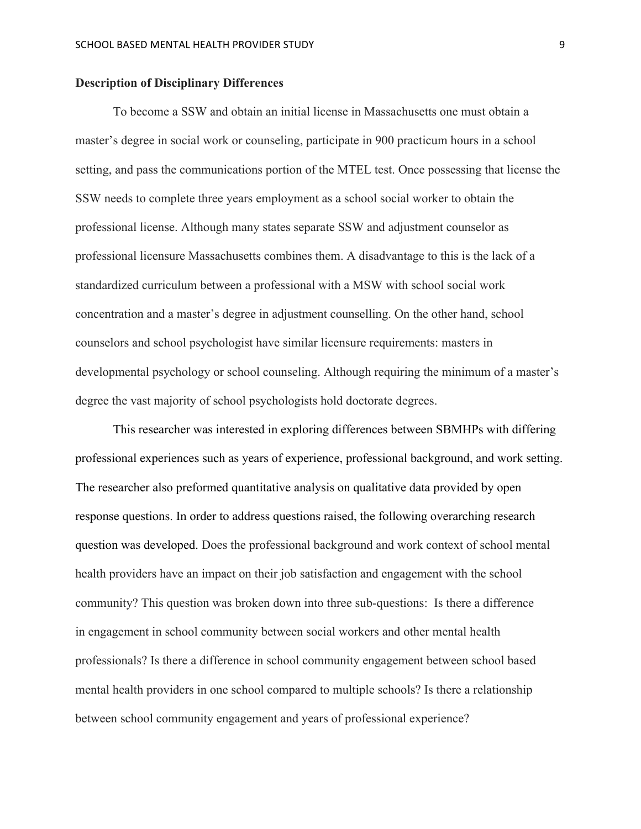#### **Description of Disciplinary Differences**

To become a SSW and obtain an initial license in Massachusetts one must obtain a master's degree in social work or counseling, participate in 900 practicum hours in a school setting, and pass the communications portion of the MTEL test. Once possessing that license the SSW needs to complete three years employment as a school social worker to obtain the professional license. Although many states separate SSW and adjustment counselor as professional licensure Massachusetts combines them. A disadvantage to this is the lack of a standardized curriculum between a professional with a MSW with school social work concentration and a master's degree in adjustment counselling. On the other hand, school counselors and school psychologist have similar licensure requirements: masters in developmental psychology or school counseling. Although requiring the minimum of a master's degree the vast majority of school psychologists hold doctorate degrees.

This researcher was interested in exploring differences between SBMHPs with differing professional experiences such as years of experience, professional background, and work setting. The researcher also preformed quantitative analysis on qualitative data provided by open response questions. In order to address questions raised, the following overarching research question was developed. Does the professional background and work context of school mental health providers have an impact on their job satisfaction and engagement with the school community? This question was broken down into three sub-questions: Is there a difference in engagement in school community between social workers and other mental health professionals? Is there a difference in school community engagement between school based mental health providers in one school compared to multiple schools? Is there a relationship between school community engagement and years of professional experience?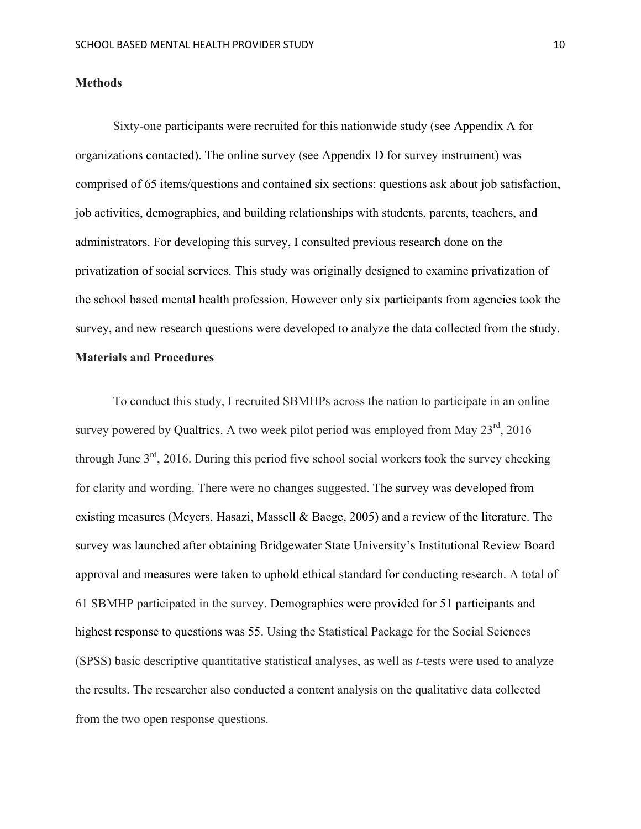#### **Methods**

Sixty-one participants were recruited for this nationwide study (see Appendix A for organizations contacted). The online survey (see Appendix D for survey instrument) was comprised of 65 items/questions and contained six sections: questions ask about job satisfaction, job activities, demographics, and building relationships with students, parents, teachers, and administrators. For developing this survey, I consulted previous research done on the privatization of social services. This study was originally designed to examine privatization of the school based mental health profession. However only six participants from agencies took the survey, and new research questions were developed to analyze the data collected from the study. **Materials and Procedures**

To conduct this study, I recruited SBMHPs across the nation to participate in an online survey powered by Qualtrics. A two week pilot period was employed from May  $23<sup>rd</sup>$ , 2016 through June  $3<sup>rd</sup>$ , 2016. During this period five school social workers took the survey checking for clarity and wording. There were no changes suggested. The survey was developed from existing measures (Meyers, Hasazi, Massell & Baege, 2005) and a review of the literature. The survey was launched after obtaining Bridgewater State University's Institutional Review Board approval and measures were taken to uphold ethical standard for conducting research. A total of 61 SBMHP participated in the survey. Demographics were provided for 51 participants and highest response to questions was 55. Using the Statistical Package for the Social Sciences (SPSS) basic descriptive quantitative statistical analyses, as well as *t*-tests were used to analyze the results. The researcher also conducted a content analysis on the qualitative data collected from the two open response questions.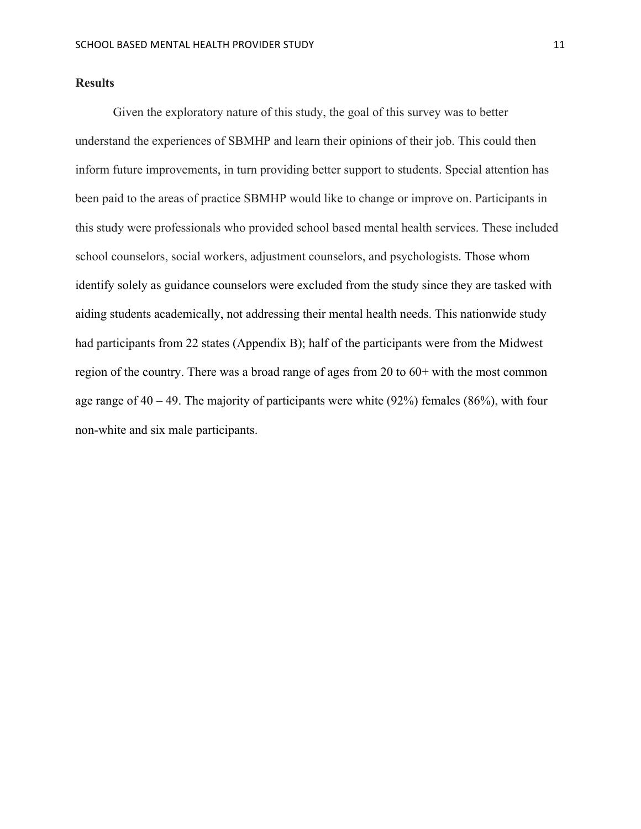#### **Results**

Given the exploratory nature of this study, the goal of this survey was to better understand the experiences of SBMHP and learn their opinions of their job. This could then inform future improvements, in turn providing better support to students. Special attention has been paid to the areas of practice SBMHP would like to change or improve on. Participants in this study were professionals who provided school based mental health services. These included school counselors, social workers, adjustment counselors, and psychologists. Those whom identify solely as guidance counselors were excluded from the study since they are tasked with aiding students academically, not addressing their mental health needs. This nationwide study had participants from 22 states (Appendix B); half of the participants were from the Midwest region of the country. There was a broad range of ages from 20 to 60+ with the most common age range of  $40 - 49$ . The majority of participants were white (92%) females (86%), with four non-white and six male participants.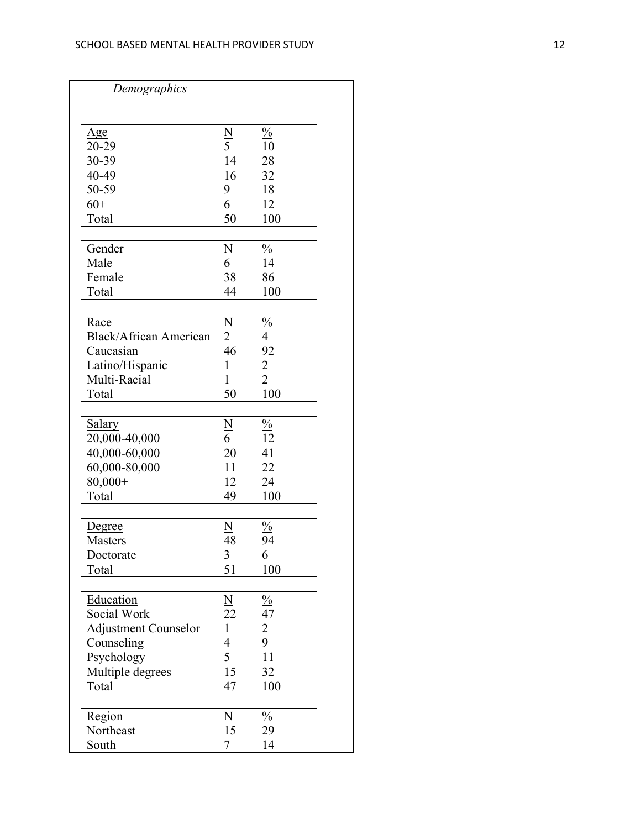| Demographics                  |                |                         |
|-------------------------------|----------------|-------------------------|
|                               |                |                         |
| Age                           |                | $\frac{0}{0}$           |
| 20-29                         | $\frac{N}{5}$  | 10                      |
| 30-39                         | 14             | 28                      |
| 40-49                         | 16             | 32                      |
| 50-59                         | 9              | 18                      |
| $60+$                         | 6              | 12                      |
| Total                         | 50             | 100                     |
|                               |                |                         |
| Gender                        |                | $\frac{0}{0}$           |
| Male                          | $\frac{N}{6}$  | 14                      |
| Female                        | 38             | 86                      |
| Total                         | 44             | 100                     |
|                               |                |                         |
| Race                          | <u>N</u>       |                         |
| <b>Black/African American</b> | $\overline{2}$ | $\frac{\frac{9}{6}}{4}$ |
| Caucasian                     | 46             | 92                      |
| Latino/Hispanic               | 1              | $\overline{2}$          |
| Multi-Racial                  | 1              | $\overline{2}$          |
| Total                         | 50             | 100                     |
|                               |                |                         |
| Salary                        | $\frac{N}{6}$  | $\frac{0}{0}$           |
| 20,000-40,000                 |                | 12                      |
| 40,000-60,000                 | 20             | 41                      |
| 60,000-80,000                 | 11             | 22                      |
| $80,000+$                     | 12             | 24                      |
| Total                         | 49             | 100                     |
|                               |                |                         |
| Degree                        |                | $\frac{0}{0}$           |
| <b>Masters</b>                | 48             | 94                      |
| Doctorate                     | 3              | 6                       |
| Total                         | 51             | 100                     |
|                               |                |                         |
| Education                     |                | $\frac{0}{0}$           |
| Social Work                   | $\frac{N}{22}$ | 47                      |
| <b>Adjustment Counselor</b>   | $\mathbf{1}$   | $\overline{c}$          |
| Counseling                    | 4              | 9                       |
| Psychology                    | 5              | 11                      |
| Multiple degrees              | 15             | 32                      |
| Total                         | 47             | 100                     |
|                               |                |                         |
| Region                        | N              | $\frac{0}{0}$           |
| Northeast                     | 15             | 29                      |
| South                         | 7              | 14                      |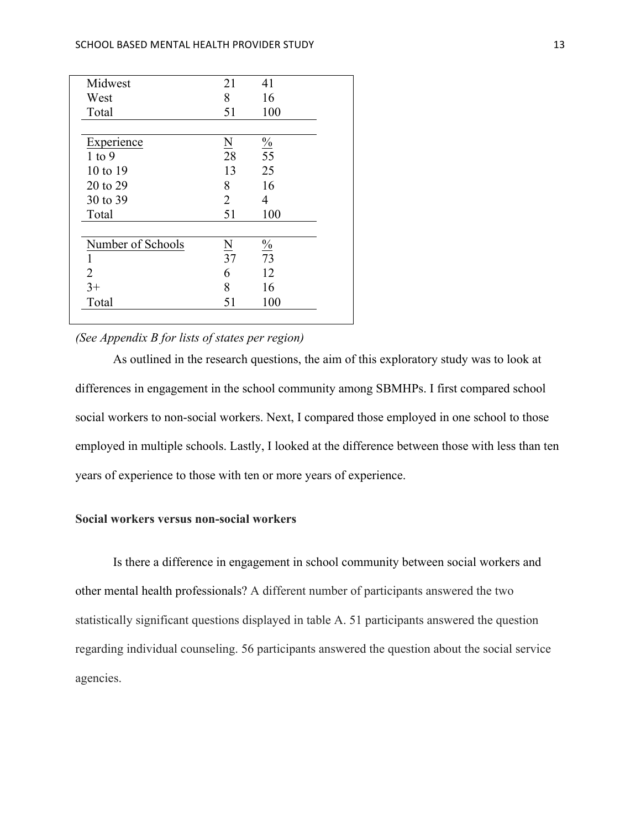| Midwest           | 21                      | 41                       |
|-------------------|-------------------------|--------------------------|
| West              | 8                       | 16                       |
| Total             | 51                      | 100                      |
|                   |                         |                          |
| Experience        | $\underline{\rm N}$     | $\frac{\frac{0}{0}}{55}$ |
| $1$ to $9$        | 28                      |                          |
| 10 to 19          | 13                      | 25                       |
| 20 to 29          | 8                       | 16                       |
| 30 to 39          | 2                       | 4                        |
| Total             | 51                      | 100                      |
|                   |                         |                          |
| Number of Schools | $\overline{\mathbf{N}}$ | $\frac{9}{07}$           |
|                   | $\overline{37}$         |                          |
| 2                 | 6                       | 12                       |
| $3+$              | 8                       | 16                       |
| Total             | 51                      | 100                      |

# *(See Appendix B for lists of states per region)*

As outlined in the research questions, the aim of this exploratory study was to look at differences in engagement in the school community among SBMHPs. I first compared school social workers to non-social workers. Next, I compared those employed in one school to those employed in multiple schools. Lastly, I looked at the difference between those with less than ten years of experience to those with ten or more years of experience.

# **Social workers versus non-social workers**

Is there a difference in engagement in school community between social workers and other mental health professionals? A different number of participants answered the two statistically significant questions displayed in table A. 51 participants answered the question regarding individual counseling. 56 participants answered the question about the social service agencies.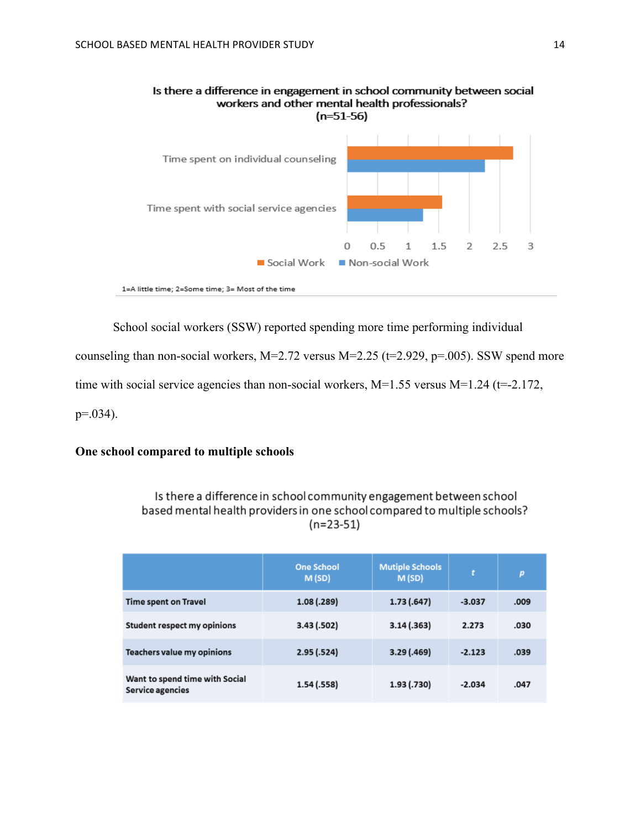

# Is there a difference in engagement in school community between social workers and other mental health professionals?

School social workers (SSW) reported spending more time performing individual

counseling than non-social workers,  $M=2.72$  versus  $M=2.25$  (t=2.929, p=.005). SSW spend more

time with social service agencies than non-social workers,  $M=1.55$  versus  $M=1.24$  (t=-2.172,

 $p=.034$ ).

# **One school compared to multiple schools**

# Is there a difference in school community engagement between school based mental health providers in one school compared to multiple schools?  $(n=23-51)$

|                                                    | <b>One School</b><br>M(SD) | <b>Mutiple Schools</b><br>M(SD) | t.       | p    |
|----------------------------------------------------|----------------------------|---------------------------------|----------|------|
| <b>Time spent on Travel</b>                        | 1.08(0.289)                | 1.73(0.647)                     | $-3.037$ | .009 |
| Student respect my opinions                        | 3.43 (.502)                | 3.14(0.363)                     | 2.273    | .030 |
| Teachers value my opinions                         | 2.95(.524)                 | 3.29 (.469)                     | $-2.123$ | .039 |
| Want to spend time with Social<br>Service agencies | 1.54(0.558)                | 1.93 (.730)                     | $-2.034$ | .047 |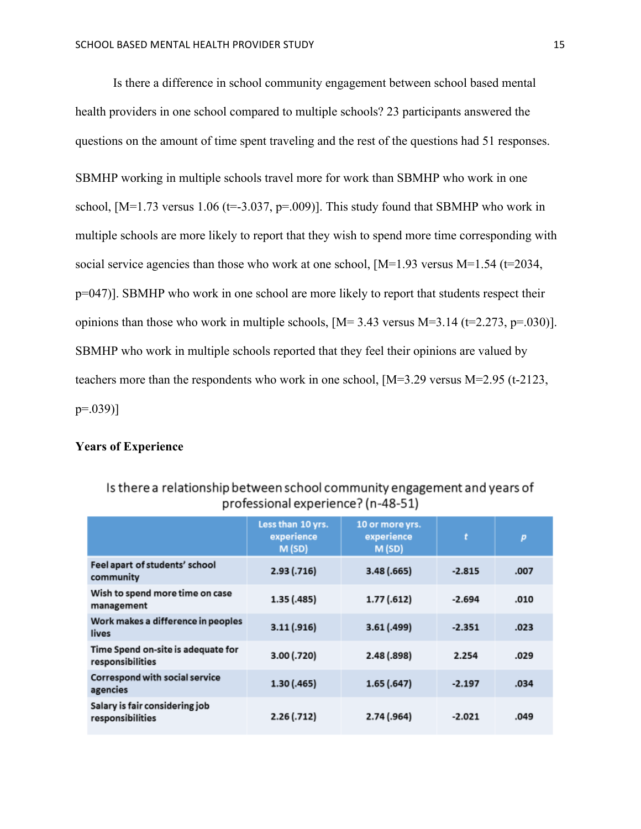Is there a difference in school community engagement between school based mental health providers in one school compared to multiple schools? 23 participants answered the questions on the amount of time spent traveling and the rest of the questions had 51 responses. SBMHP working in multiple schools travel more for work than SBMHP who work in one school,  $[M=1.73$  versus 1.06 ( $t=3.037$ ,  $p=.009$ ). This study found that SBMHP who work in multiple schools are more likely to report that they wish to spend more time corresponding with social service agencies than those who work at one school,  $[M=1.93$  versus  $M=1.54$  (t=2034, p=047)]. SBMHP who work in one school are more likely to report that students respect their opinions than those who work in multiple schools,  $[M=3.43 \text{ versus } M=3.14 \text{ (t=2.273, p=.030)}]$ . SBMHP who work in multiple schools reported that they feel their opinions are valued by teachers more than the respondents who work in one school, [M=3.29 versus M=2.95 (t-2123, p=.039)]

# **Years of Experience**

|                                                        | Less than 10 yrs.<br>experience<br>M(SD) | 10 or more yrs.<br>experience<br>M(SD) | t        | p    |
|--------------------------------------------------------|------------------------------------------|----------------------------------------|----------|------|
| Feel apart of students' school<br>community            | 2.93( .716)                              | 3.48(0.665)                            | $-2.815$ | .007 |
| Wish to spend more time on case<br>management          | 1.35(0.485)                              | 1.77(0.612)                            | $-2.694$ | .010 |
| Work makes a difference in peoples<br>lives            | 3.11(.916)                               | 3.61(0.499)                            | $-2.351$ | .023 |
| Time Spend on-site is adequate for<br>responsibilities | 3.00 (.720)                              | 2.48(.898)                             | 2.254    | .029 |
| Correspond with social service<br>agencies             | 1.30 (.465)                              | 1.65(0.647)                            | $-2.197$ | .034 |
| Salary is fair considering job<br>responsibilities     | $2.26$ (.712)                            | 2.74 (.964)                            | $-2.021$ | .049 |

# Is there a relationship between school community engagement and years of professional experience? (n-48-51)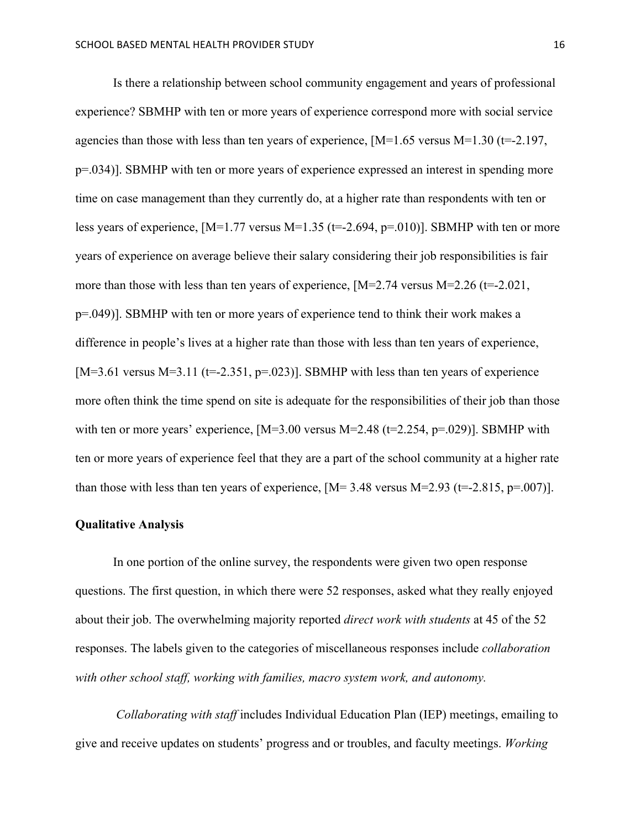Is there a relationship between school community engagement and years of professional experience? SBMHP with ten or more years of experience correspond more with social service agencies than those with less than ten years of experience,  $[M=1.65 \text{ versus } M=1.30 \text{ (t=-2.197)}$ , p=.034)]. SBMHP with ten or more years of experience expressed an interest in spending more time on case management than they currently do, at a higher rate than respondents with ten or less years of experience,  $[M=1.77 \text{ versus } M=1.35 \text{ (t=-2.694, p=0.010)}]$ . SBMHP with ten or more years of experience on average believe their salary considering their job responsibilities is fair more than those with less than ten years of experience,  $[M=2.74 \text{ versus } M=2.26 \text{ (t=-2.021,}$ p=.049)]. SBMHP with ten or more years of experience tend to think their work makes a difference in people's lives at a higher rate than those with less than ten years of experience, [M=3.61 versus M=3.11 (t=-2.351, p=.023)]. SBMHP with less than ten years of experience more often think the time spend on site is adequate for the responsibilities of their job than those with ten or more years' experience,  $[M=3.00$  versus  $M=2.48$  ( $t=2.254$ ,  $p=.029$ )]. SBMHP with ten or more years of experience feel that they are a part of the school community at a higher rate than those with less than ten years of experience,  $[M=3.48 \text{ versus } M=2.93 \text{ (t=-2.815, p=0.07)}]$ .

#### **Qualitative Analysis**

In one portion of the online survey, the respondents were given two open response questions. The first question, in which there were 52 responses, asked what they really enjoyed about their job. The overwhelming majority reported *direct work with students* at 45 of the 52 responses. The labels given to the categories of miscellaneous responses include *collaboration with other school staff, working with families, macro system work, and autonomy.*

*Collaborating with staff* includes Individual Education Plan (IEP) meetings, emailing to give and receive updates on students' progress and or troubles, and faculty meetings. *Working*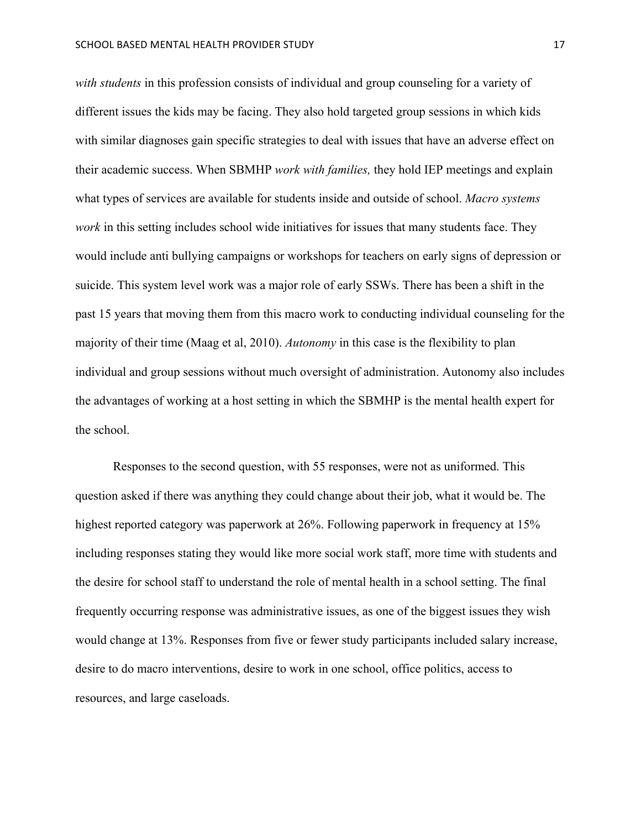*with students* in this profession consists of individual and group counseling for a variety of different issues the kids may be facing. They also hold targeted group sessions in which kids with similar diagnoses gain specific strategies to deal with issues that have an adverse effect on their academic success. When SBMHP *work with families,* they hold IEP meetings and explain what types of services are available for students inside and outside of school. *Macro systems work* in this setting includes school wide initiatives for issues that many students face. They would include anti bullying campaigns or workshops for teachers on early signs of depression or suicide. This system level work was a major role of early SSWs. There has been a shift in the past 15 years that moving them from this macro work to conducting individual counseling for the majority of their time (Maag et al, 2010). *Autonomy* in this case is the flexibility to plan individual and group sessions without much oversight of administration. Autonomy also includes the advantages of working at a host setting in which the SBMHP is the mental health expert for the school.

Responses to the second question, with 55 responses, were not as uniformed. This question asked if there was anything they could change about their job, what it would be. The highest reported category was paperwork at 26%. Following paperwork in frequency at 15% including responses stating they would like more social work staff, more time with students and the desire for school staff to understand the role of mental health in a school setting. The final frequently occurring response was administrative issues, as one of the biggest issues they wish would change at 13%. Responses from five or fewer study participants included salary increase, desire to do macro interventions, desire to work in one school, office politics, access to resources, and large caseloads.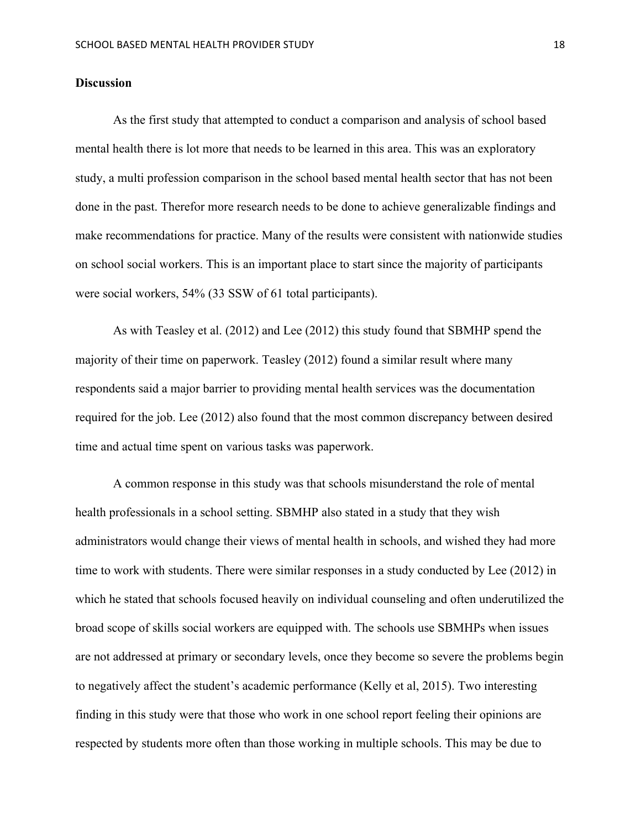#### **Discussion**

As the first study that attempted to conduct a comparison and analysis of school based mental health there is lot more that needs to be learned in this area. This was an exploratory study, a multi profession comparison in the school based mental health sector that has not been done in the past. Therefor more research needs to be done to achieve generalizable findings and make recommendations for practice. Many of the results were consistent with nationwide studies on school social workers. This is an important place to start since the majority of participants were social workers, 54% (33 SSW of 61 total participants).

As with Teasley et al. (2012) and Lee (2012) this study found that SBMHP spend the majority of their time on paperwork. Teasley (2012) found a similar result where many respondents said a major barrier to providing mental health services was the documentation required for the job. Lee (2012) also found that the most common discrepancy between desired time and actual time spent on various tasks was paperwork.

A common response in this study was that schools misunderstand the role of mental health professionals in a school setting. SBMHP also stated in a study that they wish administrators would change their views of mental health in schools, and wished they had more time to work with students. There were similar responses in a study conducted by Lee (2012) in which he stated that schools focused heavily on individual counseling and often underutilized the broad scope of skills social workers are equipped with. The schools use SBMHPs when issues are not addressed at primary or secondary levels, once they become so severe the problems begin to negatively affect the student's academic performance (Kelly et al, 2015). Two interesting finding in this study were that those who work in one school report feeling their opinions are respected by students more often than those working in multiple schools. This may be due to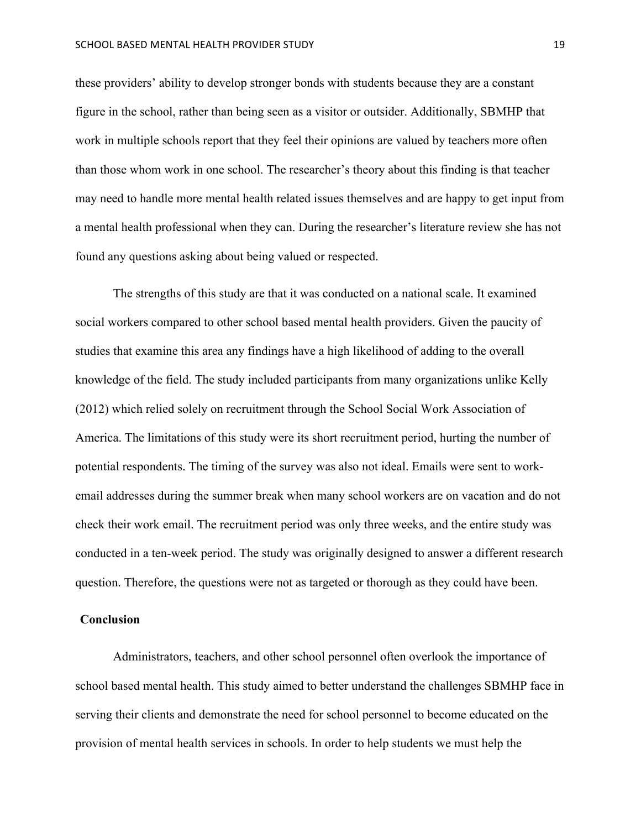these providers' ability to develop stronger bonds with students because they are a constant figure in the school, rather than being seen as a visitor or outsider. Additionally, SBMHP that work in multiple schools report that they feel their opinions are valued by teachers more often than those whom work in one school. The researcher's theory about this finding is that teacher may need to handle more mental health related issues themselves and are happy to get input from a mental health professional when they can. During the researcher's literature review she has not found any questions asking about being valued or respected.

The strengths of this study are that it was conducted on a national scale. It examined social workers compared to other school based mental health providers. Given the paucity of studies that examine this area any findings have a high likelihood of adding to the overall knowledge of the field. The study included participants from many organizations unlike Kelly (2012) which relied solely on recruitment through the School Social Work Association of America. The limitations of this study were its short recruitment period, hurting the number of potential respondents. The timing of the survey was also not ideal. Emails were sent to workemail addresses during the summer break when many school workers are on vacation and do not check their work email. The recruitment period was only three weeks, and the entire study was conducted in a ten-week period. The study was originally designed to answer a different research question. Therefore, the questions were not as targeted or thorough as they could have been.

#### **Conclusion**

Administrators, teachers, and other school personnel often overlook the importance of school based mental health. This study aimed to better understand the challenges SBMHP face in serving their clients and demonstrate the need for school personnel to become educated on the provision of mental health services in schools. In order to help students we must help the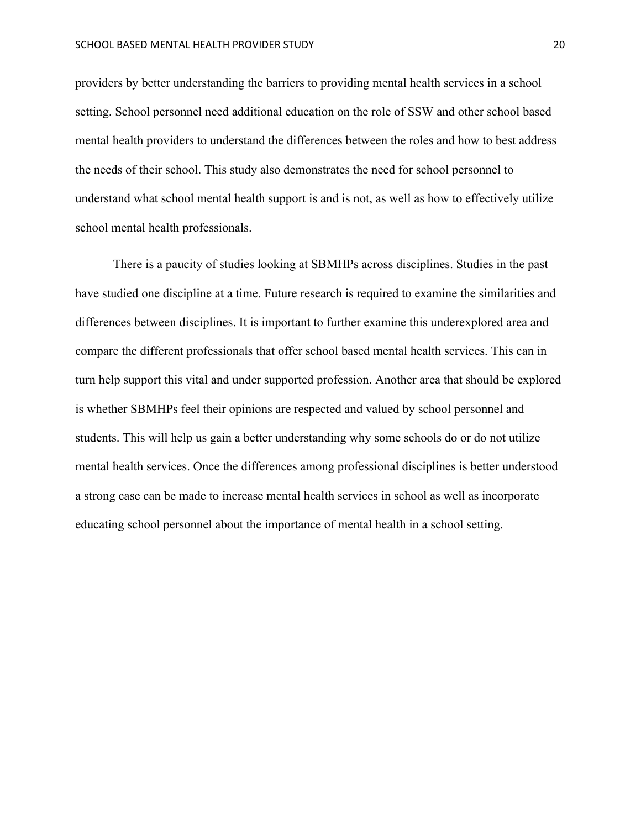providers by better understanding the barriers to providing mental health services in a school setting. School personnel need additional education on the role of SSW and other school based mental health providers to understand the differences between the roles and how to best address the needs of their school. This study also demonstrates the need for school personnel to understand what school mental health support is and is not, as well as how to effectively utilize school mental health professionals.

There is a paucity of studies looking at SBMHPs across disciplines. Studies in the past have studied one discipline at a time. Future research is required to examine the similarities and differences between disciplines. It is important to further examine this underexplored area and compare the different professionals that offer school based mental health services. This can in turn help support this vital and under supported profession. Another area that should be explored is whether SBMHPs feel their opinions are respected and valued by school personnel and students. This will help us gain a better understanding why some schools do or do not utilize mental health services. Once the differences among professional disciplines is better understood a strong case can be made to increase mental health services in school as well as incorporate educating school personnel about the importance of mental health in a school setting.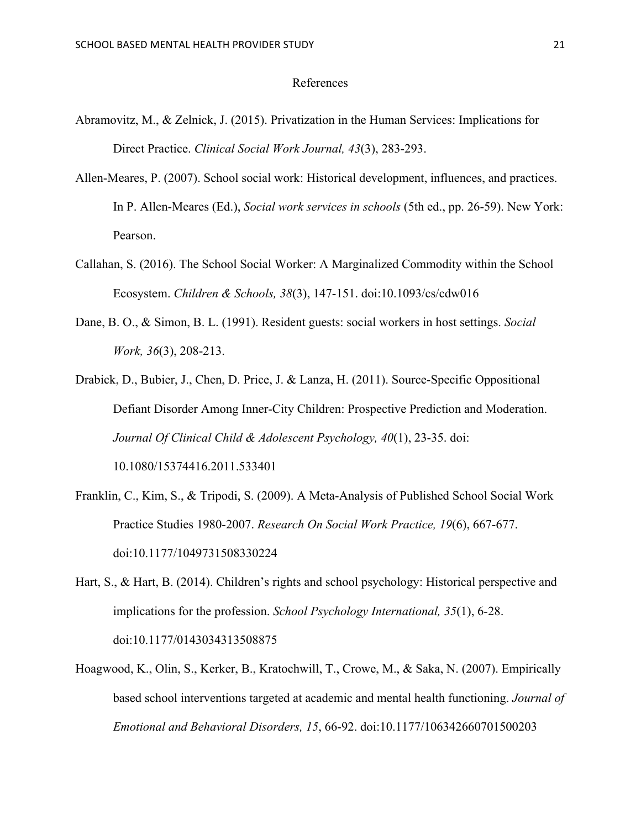#### References

- Abramovitz, M., & Zelnick, J. (2015). Privatization in the Human Services: Implications for Direct Practice. *Clinical Social Work Journal, 43*(3), 283-293.
- Allen-Meares, P. (2007). School social work: Historical development, influences, and practices. In P. Allen-Meares (Ed.), *Social work services in schools* (5th ed., pp. 26-59). New York: Pearson.
- Callahan, S. (2016). The School Social Worker: A Marginalized Commodity within the School Ecosystem. *Children & Schools, 38*(3), 147-151. doi:10.1093/cs/cdw016
- Dane, B. O., & Simon, B. L. (1991). Resident guests: social workers in host settings. *Social Work, 36*(3), 208-213.
- Drabick, D., Bubier, J., Chen, D. Price, J. & Lanza, H. (2011). Source-Specific Oppositional Defiant Disorder Among Inner-City Children: Prospective Prediction and Moderation. *Journal Of Clinical Child & Adolescent Psychology, 40*(1), 23-35. doi: 10.1080/15374416.2011.533401
- Franklin, C., Kim, S., & Tripodi, S. (2009). A Meta-Analysis of Published School Social Work Practice Studies 1980-2007. *Research On Social Work Practice, 19*(6), 667-677. doi:10.1177/1049731508330224
- Hart, S., & Hart, B. (2014). Children's rights and school psychology: Historical perspective and implications for the profession. *School Psychology International, 35*(1), 6-28. doi:10.1177/0143034313508875
- Hoagwood, K., Olin, S., Kerker, B., Kratochwill, T., Crowe, M., & Saka, N. (2007). Empirically based school interventions targeted at academic and mental health functioning. *Journal of Emotional and Behavioral Disorders, 15*, 66-92. doi:10.1177/106342660701500203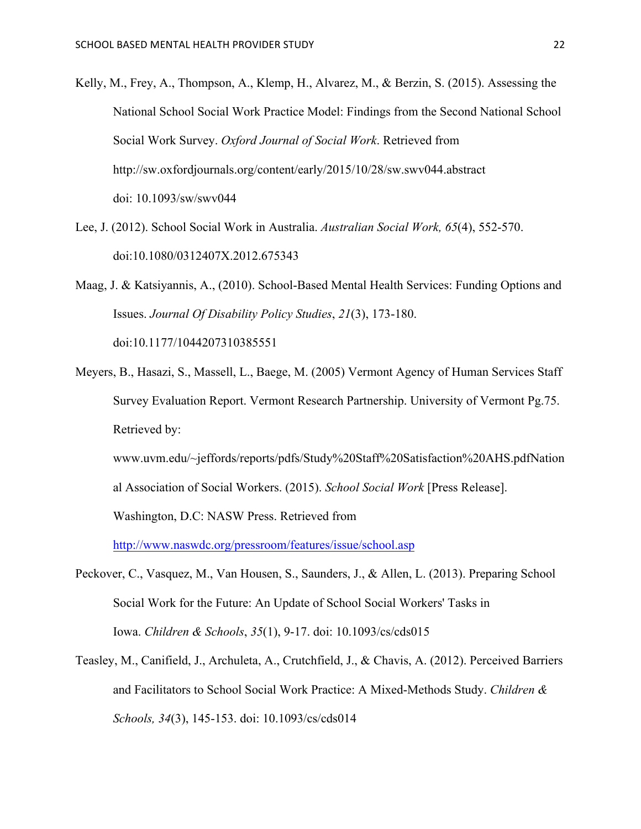- Kelly, M., Frey, A., Thompson, A., Klemp, H., Alvarez, M., & Berzin, S. (2015). Assessing the National School Social Work Practice Model: Findings from the Second National School Social Work Survey. *Oxford Journal of Social Work*. Retrieved from http://sw.oxfordjournals.org/content/early/2015/10/28/sw.swv044.abstract doi: 10.1093/sw/swv044
- Lee, J. (2012). School Social Work in Australia. *Australian Social Work, 65*(4), 552-570. doi:10.1080/0312407X.2012.675343
- Maag, J. & Katsiyannis, A., (2010). School-Based Mental Health Services: Funding Options and Issues. *Journal Of Disability Policy Studies*, *21*(3), 173-180. doi:10.1177/1044207310385551
- Meyers, B., Hasazi, S., Massell, L., Baege, M. (2005) Vermont Agency of Human Services Staff Survey Evaluation Report. Vermont Research Partnership. University of Vermont Pg.75. Retrieved by:

www.uvm.edu/~jeffords/reports/pdfs/Study%20Staff%20Satisfaction%20AHS.pdfNation al Association of Social Workers. (2015). *School Social Work* [Press Release].

Washington, D.C: NASW Press. Retrieved from

http://www.naswdc.org/pressroom/features/issue/school.asp

- Peckover, C., Vasquez, M., Van Housen, S., Saunders, J., & Allen, L. (2013). Preparing School Social Work for the Future: An Update of School Social Workers' Tasks in Iowa. *Children & Schools*, *35*(1), 9-17. doi: 10.1093/cs/cds015
- Teasley, M., Canifield, J., Archuleta, A., Crutchfield, J., & Chavis, A. (2012). Perceived Barriers and Facilitators to School Social Work Practice: A Mixed-Methods Study. *Children & Schools, 34*(3), 145-153. doi: 10.1093/cs/cds014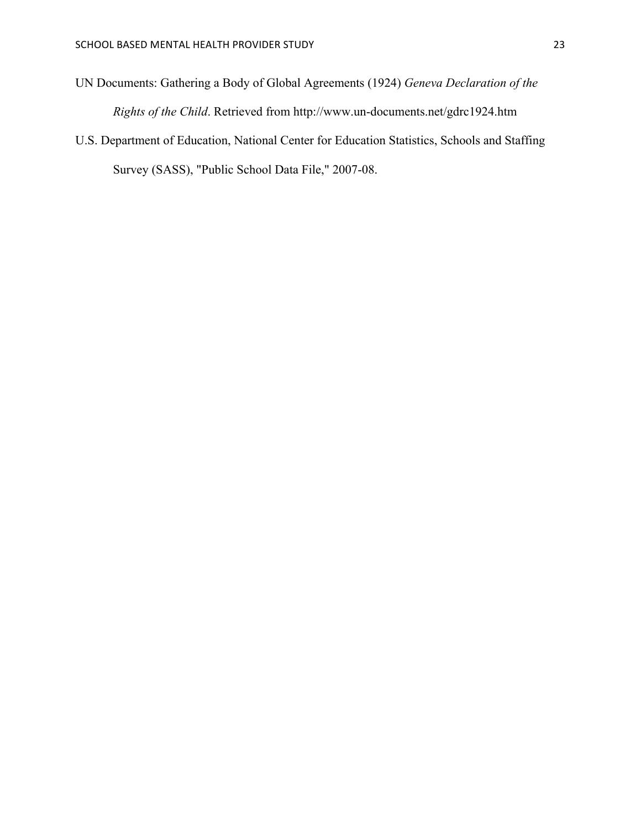- UN Documents: Gathering a Body of Global Agreements (1924) *Geneva Declaration of the Rights of the Child*. Retrieved from http://www.un-documents.net/gdrc1924.htm
- U.S. Department of Education, National Center for Education Statistics, Schools and Staffing Survey (SASS), "Public School Data File," 2007-08.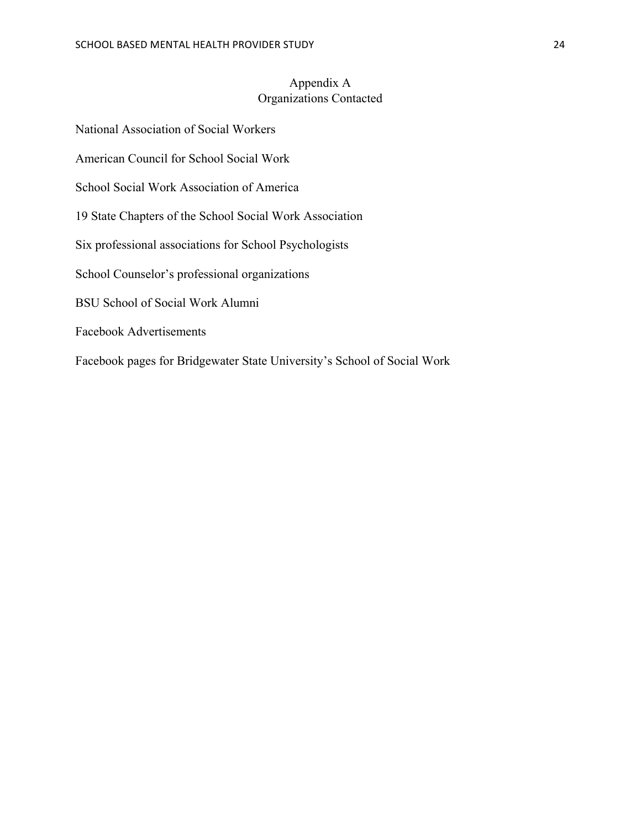# Appendix A Organizations Contacted

National Association of Social Workers American Council for School Social Work School Social Work Association of America 19 State Chapters of the School Social Work Association Six professional associations for School Psychologists School Counselor's professional organizations BSU School of Social Work Alumni Facebook Advertisements Facebook pages for Bridgewater State University's School of Social Work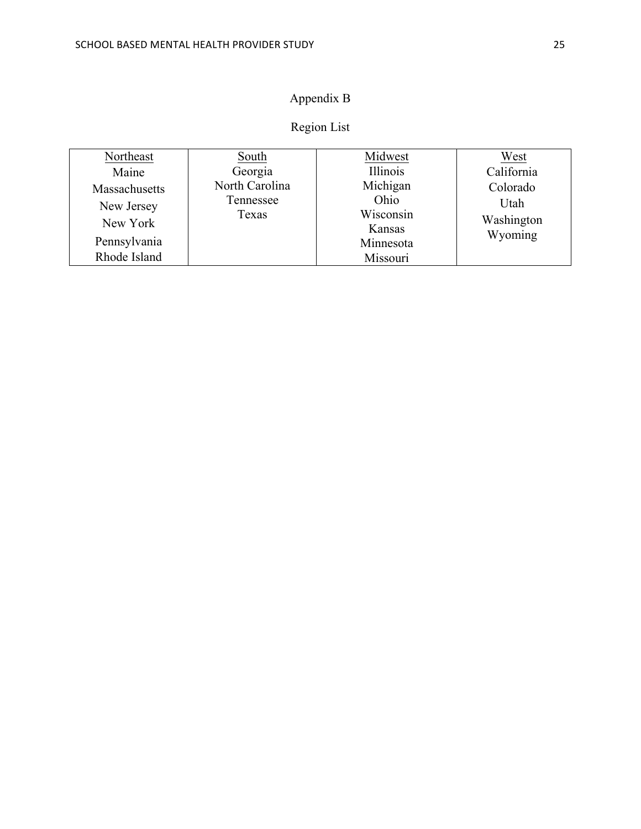# Appendix B

# Region List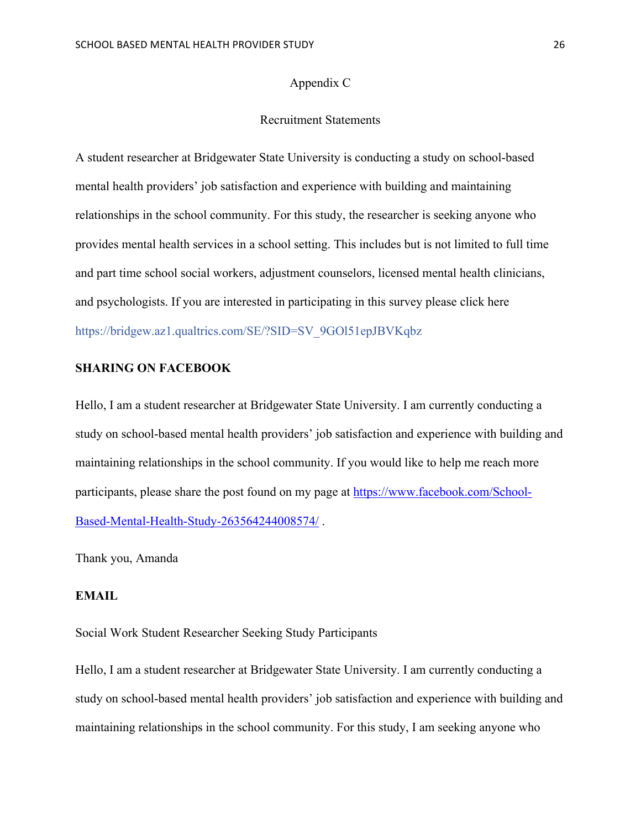#### Appendix C

#### Recruitment Statements

A student researcher at Bridgewater State University is conducting a study on school-based mental health providers' job satisfaction and experience with building and maintaining relationships in the school community. For this study, the researcher is seeking anyone who provides mental health services in a school setting. This includes but is not limited to full time and part time school social workers, adjustment counselors, licensed mental health clinicians, and psychologists. If you are interested in participating in this survey please click here https://bridgew.az1.qualtrics.com/SE/?SID=SV\_9GOl51epJBVKqbz

# **SHARING ON FACEBOOK**

Hello, I am a student researcher at Bridgewater State University. I am currently conducting a study on school-based mental health providers' job satisfaction and experience with building and maintaining relationships in the school community. If you would like to help me reach more participants, please share the post found on my page at https://www.facebook.com/School-Based-Mental-Health-Study-263564244008574/ .

Thank you, Amanda

# **EMAIL**

Social Work Student Researcher Seeking Study Participants

Hello, I am a student researcher at Bridgewater State University. I am currently conducting a study on school-based mental health providers' job satisfaction and experience with building and maintaining relationships in the school community. For this study, I am seeking anyone who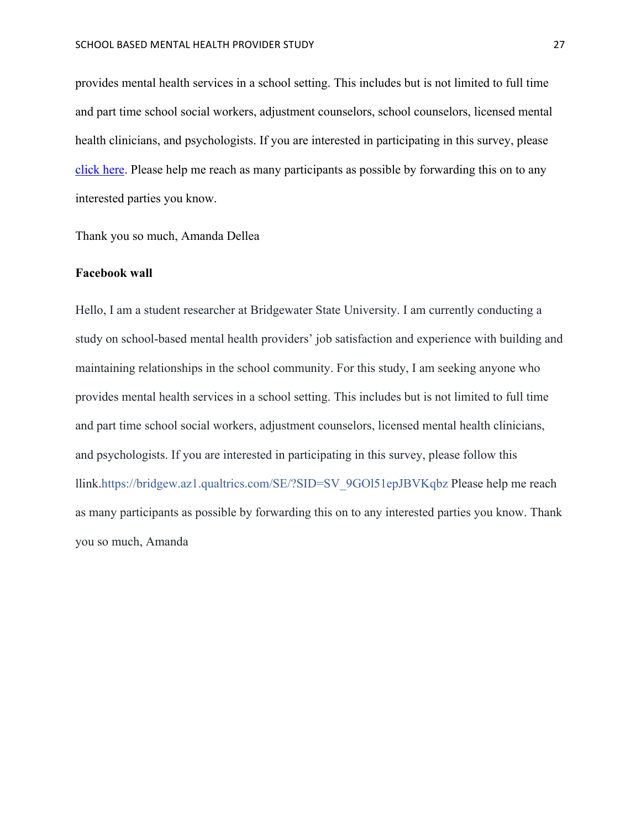provides mental health services in a school setting. This includes but is not limited to full time and part time school social workers, adjustment counselors, school counselors, licensed mental health clinicians, and psychologists. If you are interested in participating in this survey, please click here. Please help me reach as many participants as possible by forwarding this on to any interested parties you know.

Thank you so much, Amanda Dellea

#### **Facebook wall**

Hello, I am a student researcher at Bridgewater State University. I am currently conducting a study on school-based mental health providers' job satisfaction and experience with building and maintaining relationships in the school community. For this study, I am seeking anyone who provides mental health services in a school setting. This includes but is not limited to full time and part time school social workers, adjustment counselors, licensed mental health clinicians, and psychologists. If you are interested in participating in this survey, please follow this llink.https://bridgew.az1.qualtrics.com/SE/?SID=SV\_9GOl51epJBVKqbz Please help me reach as many participants as possible by forwarding this on to any interested parties you know. Thank you so much, Amanda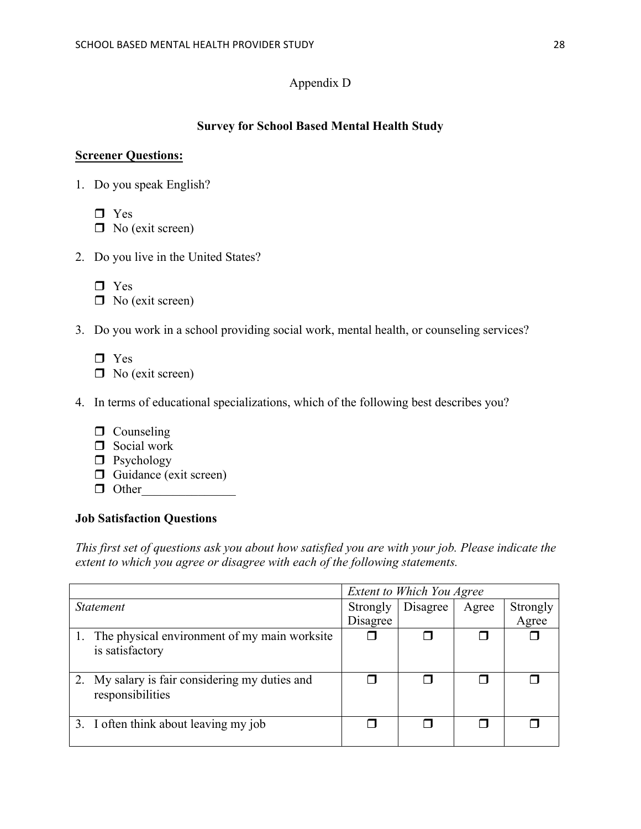# Appendix D

# **Survey for School Based Mental Health Study**

#### **Screener Questions:**

- 1. Do you speak English?
	- $\Box$  Yes
	- $\Box$  No (exit screen)
- 2. Do you live in the United States?
	- $\Box$  Yes  $\Box$  No (exit screen)
- 3. Do you work in a school providing social work, mental health, or counseling services?
	- $\Box$  Yes
	- $\Box$  No (exit screen)

# 4. In terms of educational specializations, which of the following best describes you?

- $\Box$  Counseling
- $\Box$  Social work
- $\Box$  Psychology
- $\Box$  Guidance (exit screen)
- $\Box$  Other

# **Job Satisfaction Questions**

*This first set of questions ask you about how satisfied you are with your job. Please indicate the extent to which you agree or disagree with each of the following statements.* 

|                                                                    | <b>Extent to Which You Agree</b> |          |       |          |
|--------------------------------------------------------------------|----------------------------------|----------|-------|----------|
| <i>Statement</i>                                                   | Strongly                         | Disagree | Agree | Strongly |
|                                                                    | Disagree                         |          |       | Agree    |
| 1. The physical environment of my main worksite<br>is satisfactory |                                  |          |       |          |
| 2. My salary is fair considering my duties and<br>responsibilities |                                  |          |       |          |
| 3. I often think about leaving my job                              |                                  |          |       |          |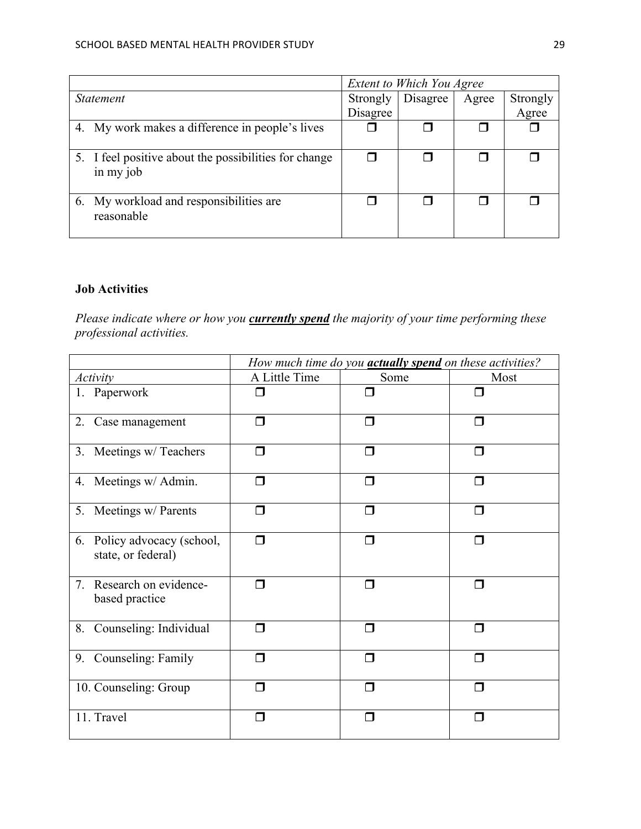|                                                                    | <b>Extent to Which You Agree</b> |          |       |          |
|--------------------------------------------------------------------|----------------------------------|----------|-------|----------|
| <i>Statement</i>                                                   | Strongly                         | Disagree | Agree | Strongly |
|                                                                    | Disagree                         |          |       | Agree    |
| 4. My work makes a difference in people's lives                    |                                  |          |       |          |
| 5. I feel positive about the possibilities for change<br>in my job | П                                |          |       |          |
| 6. My workload and responsibilities are<br>reasonable              |                                  |          |       |          |

# **Job Activities**

*Please indicate where or how you currently spend the majority of your time performing these professional activities.* 

|                                                   | How much time do you <b>actually spend</b> on these activities? |        |        |  |  |
|---------------------------------------------------|-----------------------------------------------------------------|--------|--------|--|--|
| <i>Activity</i>                                   | A Little Time                                                   | Some   | Most   |  |  |
| 1. Paperwork                                      | □                                                               | ⊓      | ⊓      |  |  |
| 2. Case management                                | Π                                                               | $\Box$ | $\Box$ |  |  |
| 3. Meetings w/ Teachers                           | ⊓                                                               | ⊓      | П      |  |  |
| 4. Meetings w/ Admin.                             | Π                                                               | $\Box$ | ⊓      |  |  |
| 5. Meetings w/ Parents                            | Π                                                               | $\Box$ | $\Box$ |  |  |
| 6. Policy advocacy (school,<br>state, or federal) | $\Box$                                                          | $\Box$ | $\Box$ |  |  |
| 7. Research on evidence-<br>based practice        | ⊓                                                               | $\Box$ | $\Box$ |  |  |
| 8. Counseling: Individual                         | ⊓                                                               | $\Box$ | $\Box$ |  |  |
| 9. Counseling: Family                             | ⊓                                                               | $\Box$ | П      |  |  |
| 10. Counseling: Group                             | ⊓                                                               | $\Box$ | П      |  |  |
| 11. Travel                                        | □                                                               | П      |        |  |  |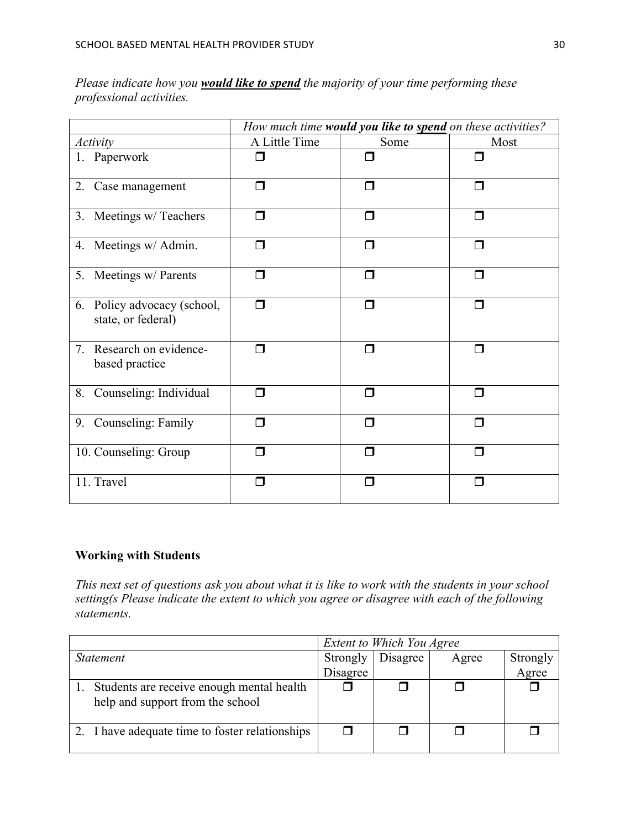| Please indicate how you <b>would like to spend</b> the majority of your time performing these |  |  |
|-----------------------------------------------------------------------------------------------|--|--|
| professional activities.                                                                      |  |  |

|                                                   | How much time would you like to spend on these activities? |        |        |  |  |
|---------------------------------------------------|------------------------------------------------------------|--------|--------|--|--|
| Activity                                          | A Little Time                                              | Some   | Most   |  |  |
| 1. Paperwork                                      | ⊓                                                          |        | П      |  |  |
| 2. Case management                                | $\Box$                                                     | П      | П      |  |  |
| 3. Meetings w/ Teachers                           | $\Box$                                                     | Π      | $\Box$ |  |  |
| 4. Meetings w/ Admin.                             | Π                                                          | ⊓      | ⊓      |  |  |
| 5. Meetings w/ Parents                            | $\Box$                                                     | $\Box$ | $\Box$ |  |  |
| 6. Policy advocacy (school,<br>state, or federal) | $\Box$                                                     | $\Box$ | $\Box$ |  |  |
| Research on evidence-<br>7.<br>based practice     | ⊓                                                          | ⊓      | $\Box$ |  |  |
| 8. Counseling: Individual                         | ⊓                                                          | П      | П      |  |  |
| 9. Counseling: Family                             | ⊓                                                          | ⊓      | ⊓      |  |  |
| 10. Counseling: Group                             | ⊓                                                          | П      | П      |  |  |
| 11. Travel                                        | $\blacksquare$                                             | П      | П      |  |  |

# **Working with Students**

*This next set of questions ask you about what it is like to work with the students in your school setting(s Please indicate the extent to which you agree or disagree with each of the following statements.* 

|                                                                               | Extent to Which You Agree |          |       |          |
|-------------------------------------------------------------------------------|---------------------------|----------|-------|----------|
| <i>Statement</i>                                                              | Strongly                  | Disagree | Agree | Strongly |
|                                                                               | Disagree                  |          |       | Agree    |
| Students are receive enough mental health<br>help and support from the school |                           |          |       |          |
| 2. I have adequate time to foster relationships                               |                           |          |       |          |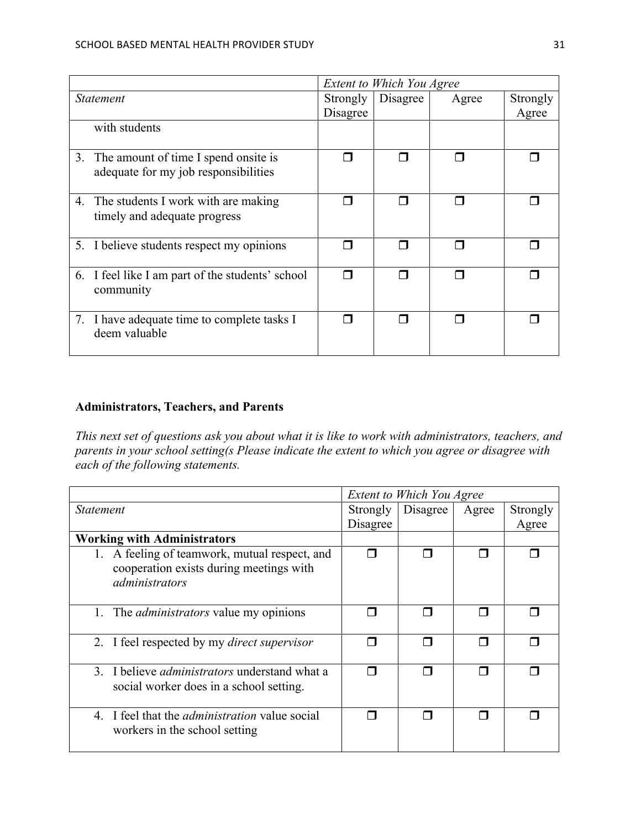|                                                                                 | Extent to Which You Agree |          |       |          |
|---------------------------------------------------------------------------------|---------------------------|----------|-------|----------|
| <i>Statement</i>                                                                |                           | Disagree | Agree | Strongly |
|                                                                                 | Disagree                  |          |       | Agree    |
| with students                                                                   |                           |          |       |          |
| 3. The amount of time I spend onsite is<br>adequate for my job responsibilities |                           |          |       |          |
| 4. The students I work with are making<br>timely and adequate progress          |                           |          |       |          |
| 5. I believe students respect my opinions                                       |                           |          |       |          |
| 6. I feel like I am part of the students' school<br>community                   |                           |          |       |          |
| 7. I have adequate time to complete tasks I<br>deem valuable                    |                           |          |       |          |

# **Administrators, Teachers, and Parents**

*This next set of questions ask you about what it is like to work with administrators, teachers, and parents in your school setting(s Please indicate the extent to which you agree or disagree with each of the following statements.* 

|                                                                      | <b>Extent to Which You Agree</b> |          |       |          |  |
|----------------------------------------------------------------------|----------------------------------|----------|-------|----------|--|
| <i>Statement</i>                                                     | Strongly                         | Disagree | Agree | Strongly |  |
|                                                                      | Disagree                         |          |       | Agree    |  |
| <b>Working with Administrators</b>                                   |                                  |          |       |          |  |
| 1. A feeling of teamwork, mutual respect, and                        |                                  |          |       |          |  |
| cooperation exists during meetings with                              |                                  |          |       |          |  |
| administrators                                                       |                                  |          |       |          |  |
|                                                                      |                                  |          |       |          |  |
| 1.<br>The <i>administrators</i> value my opinions                    |                                  |          |       |          |  |
|                                                                      |                                  |          |       |          |  |
| 2. I feel respected by my <i>direct supervisor</i>                   |                                  |          |       |          |  |
|                                                                      |                                  |          |       |          |  |
| 3. I believe <i>administrators</i> understand what a                 |                                  |          |       |          |  |
| social worker does in a school setting.                              |                                  |          |       |          |  |
|                                                                      |                                  |          |       |          |  |
| I feel that the <i>administration</i> value social<br>$\overline{4}$ |                                  |          | П     |          |  |
| workers in the school setting                                        |                                  |          |       |          |  |
|                                                                      |                                  |          |       |          |  |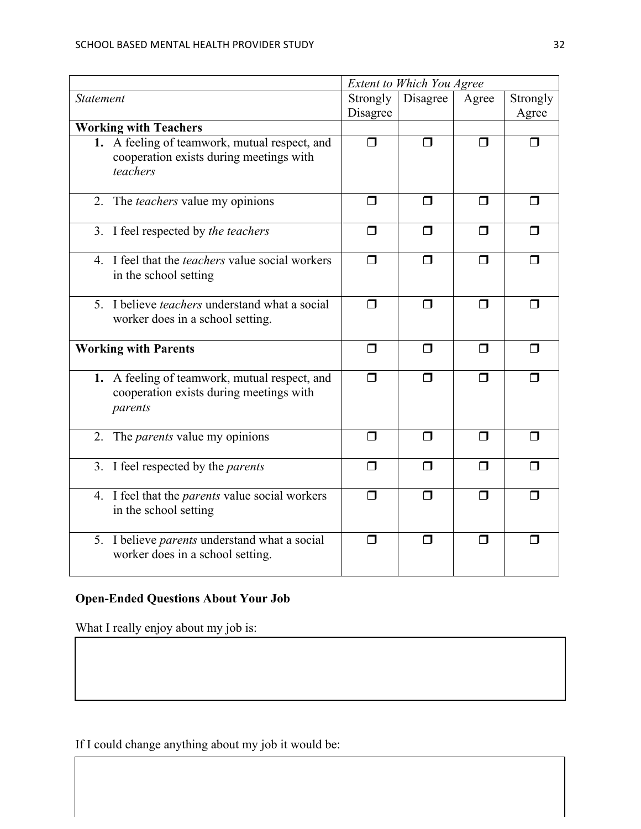|                                                                                                      | Extent to Which You Agree |                |                |                   |
|------------------------------------------------------------------------------------------------------|---------------------------|----------------|----------------|-------------------|
| <b>Statement</b>                                                                                     | Strongly<br>Disagree      | Disagree       | Agree          | Strongly<br>Agree |
| <b>Working with Teachers</b>                                                                         |                           |                |                |                   |
| 1. A feeling of teamwork, mutual respect, and<br>cooperation exists during meetings with<br>teachers | $\Box$                    | $\Box$         | ◘              | П                 |
| 2. The teachers value my opinions                                                                    | $\Box$                    | $\Box$         | $\Box$         | ⊓                 |
| 3. I feel respected by the teachers                                                                  | $\Box$                    | $\Box$         | $\Box$         | ⊓                 |
| 4. I feel that the <i>teachers</i> value social workers<br>in the school setting                     | $\Box$                    | $\blacksquare$ | $\blacksquare$ | ⊓                 |
| 5. I believe <i>teachers</i> understand what a social<br>worker does in a school setting.            | $\Box$                    | $\Box$         | $\Box$         | $\Box$            |
| <b>Working with Parents</b>                                                                          | $\Box$                    | $\Box$         | $\Box$         | $\Box$            |
| 1. A feeling of teamwork, mutual respect, and<br>cooperation exists during meetings with<br>parents  | $\Box$                    | ⊓              | $\Box$         | П                 |
| The <i>parents</i> value my opinions<br>2.                                                           | $\Box$                    | $\Box$         | $\Box$         | П                 |
| 3. I feel respected by the <i>parents</i>                                                            | $\Box$                    | $\Box$         | $\Box$         | $\Box$            |
| 4. I feel that the <i>parents</i> value social workers<br>in the school setting                      | $\Box$                    | $\Box$         | $\Box$         | ⊓                 |
| 5. I believe <i>parents</i> understand what a social<br>worker does in a school setting.             | $\Box$                    | $\Box$         | $\Box$         | $\blacksquare$    |

# **Open-Ended Questions About Your Job**

What I really enjoy about my job is:

If I could change anything about my job it would be: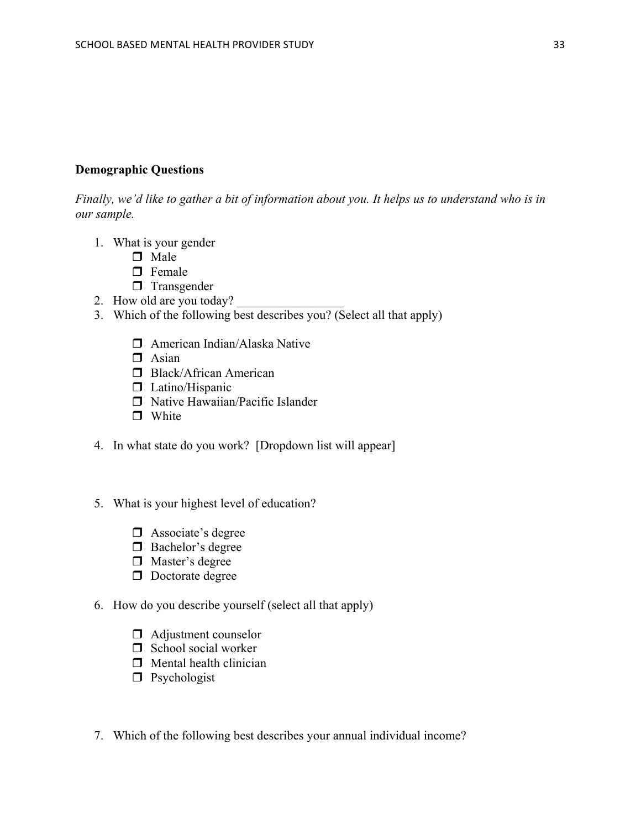#### **Demographic Questions**

*Finally, we'd like to gather a bit of information about you. It helps us to understand who is in our sample.* 

- 1. What is your gender
	- $\Box$  Male
	- $\Box$  Female
	- $\Box$  Transgender
- 2. How old are you today?
- 3. Which of the following best describes you? (Select all that apply)
	- $\Box$  American Indian/Alaska Native
	- $\Box$  Asian
	- $\Box$  Black/African American
	- $\Box$  Latino/Hispanic
	- $\Box$  Native Hawaiian/Pacific Islander
	- $\Box$  White
- 4. In what state do you work? [Dropdown list will appear]
- 5. What is your highest level of education?
	- $\Box$  Associate's degree
	- $\Box$  Bachelor's degree
	- $\Box$  Master's degree
	- $\Box$  Doctorate degree
- 6. How do you describe yourself (select all that apply)
	- $\Box$  Adjustment counselor
	- $\Box$  School social worker
	- $\Box$  Mental health clinician
	- $\Box$  Psychologist
- 7. Which of the following best describes your annual individual income?